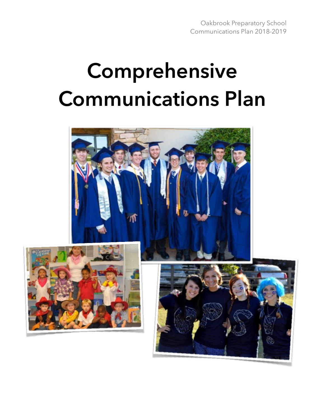# **Comprehensive Communications Plan**

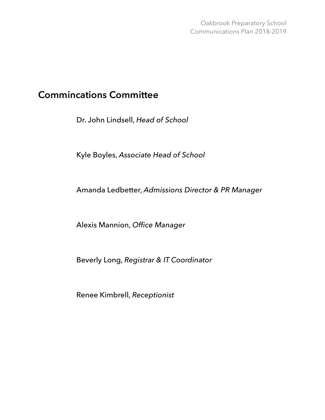# **Commincations Committee**

Dr. John Lindsell, *Head of School* 

Kyle Boyles, *Associate Head of School* 

Amanda Ledbetter, *Admissions Director & PR Manager*

Alexis Mannion, *Office Manager*

Beverly Long, *Registrar & IT Coordinator*

Renee Kimbrell, *Receptionist*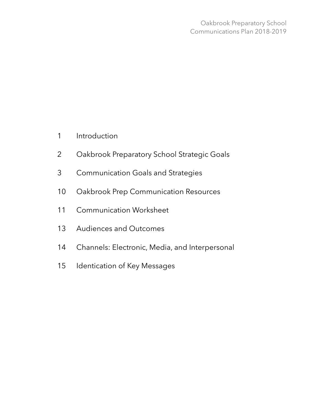- 1 Introduction
- 2 Oakbrook Preparatory School Strategic Goals
- 3 Communication Goals and Strategies
- 10 Oakbrook Prep Communication Resources
- 11 Communication Worksheet
- 13 Audiences and Outcomes
- 14 Channels: Electronic, Media, and Interpersonal
- 15 Identication of Key Messages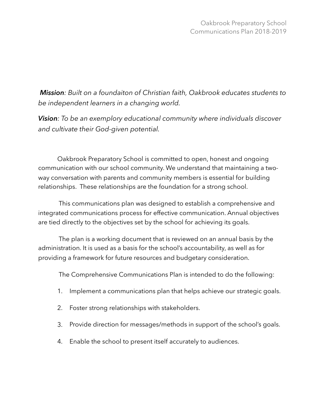*Mission: Built on a foundaiton of Christian faith, Oakbrook educates students to be independent learners in a changing world.* 

*Vision: To be an exemplory educational community where individuals discover and cultivate their God-given potential.* 

Oakbrook Preparatory School is committed to open, honest and ongoing communication with our school community. We understand that maintaining a twoway conversation with parents and community members is essential for building relationships. These relationships are the foundation for a strong school.

 This communications plan was designed to establish a comprehensive and integrated communications process for effective communication. Annual objectives are tied directly to the objectives set by the school for achieving its goals.

 The plan is a working document that is reviewed on an annual basis by the administration. It is used as a basis for the school's accountability, as well as for providing a framework for future resources and budgetary consideration.

The Comprehensive Communications Plan is intended to do the following:

- 1. Implement a communications plan that helps achieve our strategic goals.
- 2. Foster strong relationships with stakeholders.
- 3. Provide direction for messages/methods in support of the school's goals.
- 4. Enable the school to present itself accurately to audiences.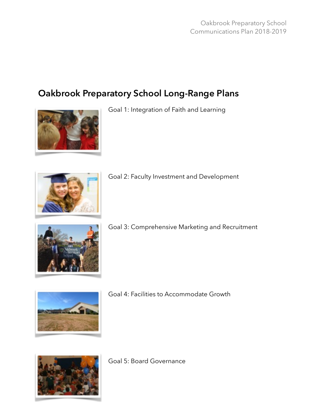# **Oakbrook Preparatory School Long-Range Plans**



Goal 1: Integration of Faith and Learning



Goal 2: Faculty Investment and Development



Goal 3: Comprehensive Marketing and Recruitment



Goal 4: Facilities to Accommodate Growth



Goal 5: Board Governance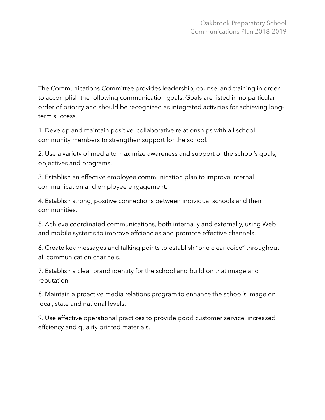The Communications Committee provides leadership, counsel and training in order to accomplish the following communication goals. Goals are listed in no particular order of priority and should be recognized as integrated activities for achieving longterm success.

1. Develop and maintain positive, collaborative relationships with all school community members to strengthen support for the school.

2. Use a variety of media to maximize awareness and support of the school's goals, objectives and programs.

3. Establish an effective employee communication plan to improve internal communication and employee engagement.

4. Establish strong, positive connections between individual schools and their communities.

5. Achieve coordinated communications, both internally and externally, using Web and mobile systems to improve effciencies and promote effective channels.

6. Create key messages and talking points to establish "one clear voice" throughout all communication channels.

7. Establish a clear brand identity for the school and build on that image and reputation.

8. Maintain a proactive media relations program to enhance the school's image on local, state and national levels.

9. Use effective operational practices to provide good customer service, increased effciency and quality printed materials.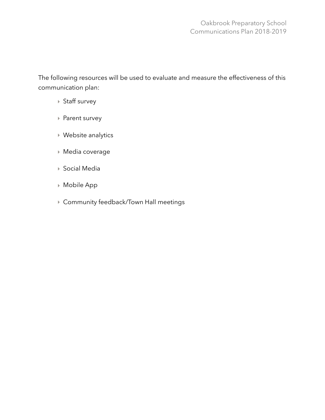The following resources will be used to evaluate and measure the effectiveness of this communication plan:

- ‣ Staff survey
- ‣ Parent survey
- ‣ Website analytics
- ‣ Media coverage
- ‣ Social Media
- ‣ Mobile App
- ‣ Community feedback/Town Hall meetings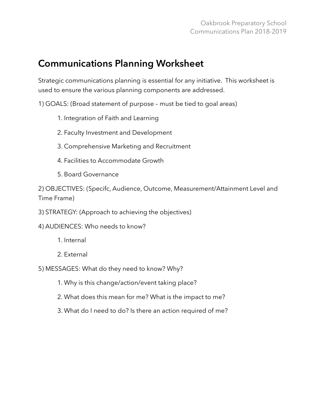# **Communications Planning Worksheet**

Strategic communications planning is essential for any initiative. This worksheet is used to ensure the various planning components are addressed.

1) GOALS: (Broad statement of purpose – must be tied to goal areas)

- 1. Integration of Faith and Learning
- 2. Faculty Investment and Development
- 3. Comprehensive Marketing and Recruitment
- 4. Facilities to Accommodate Growth
- 5. Board Governance

2) OBJECTIVES: (Specifc, Audience, Outcome, Measurement/Attainment Level and Time Frame)

- 3) STRATEGY: (Approach to achieving the objectives)
- 4) AUDIENCES: Who needs to know?
	- 1. Internal
	- 2. External
- 5) MESSAGES: What do they need to know? Why?
	- 1. Why is this change/action/event taking place?
	- 2. What does this mean for me? What is the impact to me?
	- 3. What do I need to do? Is there an action required of me?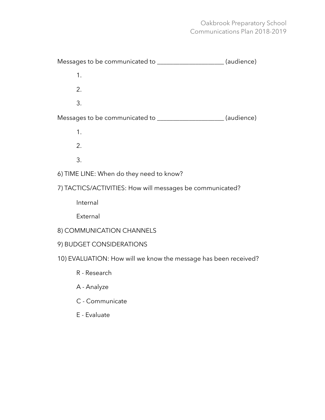## Oakbrook Preparatory School Communications Plan 2018-2019

| Messages to be communicated to _______________________(audience) |  |  |  |  |  |
|------------------------------------------------------------------|--|--|--|--|--|
| 1.                                                               |  |  |  |  |  |
| 2.                                                               |  |  |  |  |  |
| 3.                                                               |  |  |  |  |  |
| Messages to be communicated to ______________________(audience)  |  |  |  |  |  |
| 1.                                                               |  |  |  |  |  |
| 2.                                                               |  |  |  |  |  |
| 3.                                                               |  |  |  |  |  |
| 6) TIME LINE: When do they need to know?                         |  |  |  |  |  |
| 7) TACTICS/ACTIVITIES: How will messages be communicated?        |  |  |  |  |  |

Internal

External

- 8) COMMUNICATION CHANNELS
- 9) BUDGET CONSIDERATIONS
- 10) EVALUATION: How will we know the message has been received?
	- R Research
	- A Analyze
	- C Communicate
	- E Evaluate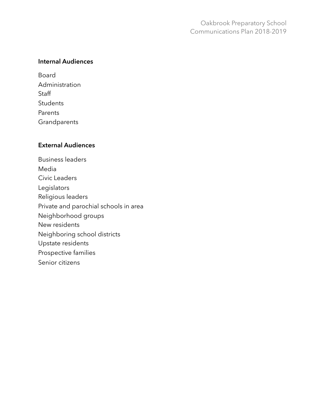#### **Internal Audiences**

Board Administration **Staff Students** Parents **Grandparents** 

#### **External Audiences**

Business leaders Media Civic Leaders Legislators Religious leaders Private and parochial schools in area Neighborhood groups New residents Neighboring school districts Upstate residents Prospective families Senior citizens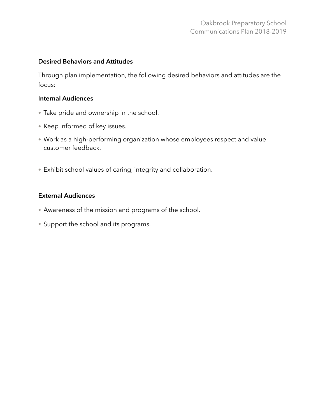#### **Desired Behaviors and Attitudes**

Through plan implementation, the following desired behaviors and attitudes are the focus:

#### **Internal Audiences**

- Take pride and ownership in the school.
- Keep informed of key issues.
- Work as a high-performing organization whose employees respect and value customer feedback.
- Exhibit school values of caring, integrity and collaboration.

#### **External Audiences**

- Awareness of the mission and programs of the school.
- Support the school and its programs.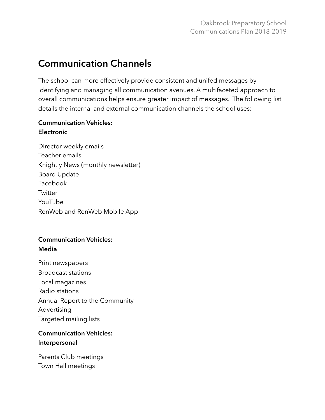# **Communication Channels**

The school can more effectively provide consistent and unifed messages by identifying and managing all communication avenues. A multifaceted approach to overall communications helps ensure greater impact of messages. The following list details the internal and external communication channels the school uses:

### **Communication Vehicles: Electronic**

Director weekly emails Teacher emails Knightly News (monthly newsletter) Board Update Facebook **Twitter** YouTube RenWeb and RenWeb Mobile App

## **Communication Vehicles: Media**

Print newspapers Broadcast stations Local magazines Radio stations Annual Report to the Community Advertising Targeted mailing lists

## **Communication Vehicles: Interpersonal**

Parents Club meetings Town Hall meetings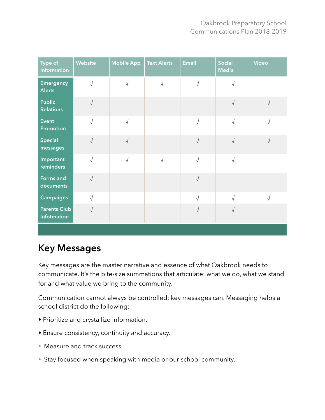| Type of<br><b>Information</b>      | <b>Website</b> | <b>Mobile App</b> | <b>Text Alerts</b> | <b>Email</b> | <b>Social</b><br><b>Media</b> | <b>Video</b> |
|------------------------------------|----------------|-------------------|--------------------|--------------|-------------------------------|--------------|
| <b>Emergency</b><br><b>Alerts</b>  | $\sqrt{2}$     | $\sqrt{ }$        | $\sqrt{2}$         | $\sqrt{2}$   | $\sqrt{}$                     |              |
| <b>Public</b><br><b>Relations</b>  | $\sqrt{ }$     |                   |                    |              | $\sqrt{}$                     | $\sqrt{2}$   |
| <b>Event</b><br>Promotion          | $\sqrt{2}$     | $\sqrt{2}$        |                    | $\sqrt{2}$   | $\sqrt{2}$                    | $\sqrt{}$    |
| Special<br>messages                | $\sqrt{2}$     | $\sqrt{ }$        |                    | $\sqrt{ }$   | $\sqrt{2}$                    | $\sqrt{2}$   |
| Important<br>reminders             | $\sqrt{ }$     | $\sqrt{ }$        | $\sqrt{2}$         | $\sqrt{ }$   | $\sqrt{\phantom{a}}$          |              |
| Forms and<br>documents             | $\sqrt{2}$     |                   |                    | $\sqrt{ }$   |                               |              |
| <b>Campaigns</b>                   | $\sqrt{ }$     |                   |                    | $\sqrt{2}$   | $\sqrt{2}$                    | $\sqrt{2}$   |
| <b>Parents Club</b><br>Infotmation | $\sqrt{2}$     |                   |                    | $\sqrt{ }$   | $\sqrt{2}$                    |              |
|                                    |                |                   |                    |              |                               |              |

# **Key Messages**

Key messages are the master narrative and essence of what Oakbrook needs to communicate. It's the bite-size summations that articulate: what we do, what we stand for and what value we bring to the community.

Communication cannot always be controlled; key messages can. Messaging helps a school district do the following:

- Prioritize and crystallize information.
- Ensure consistency, continuity and accuracy.
- Measure and track success.
- Stay focused when speaking with media or our school community.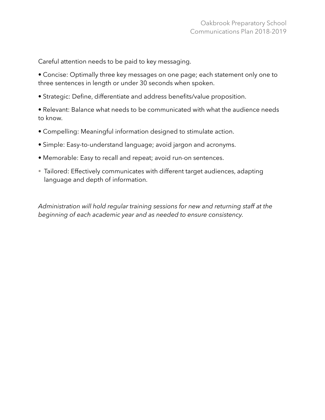Careful attention needs to be paid to key messaging.

• Concise: Optimally three key messages on one page; each statement only one to three sentences in length or under 30 seconds when spoken.

- Strategic: Define, differentiate and address benefits/value proposition.
- Relevant: Balance what needs to be communicated with what the audience needs to know.
- Compelling: Meaningful information designed to stimulate action.
- Simple: Easy-to-understand language; avoid jargon and acronyms.
- Memorable: Easy to recall and repeat; avoid run-on sentences.
- Tailored: Effectively communicates with different target audiences, adapting language and depth of information.

*Administration will hold regular training sessions for new and returning staff at the beginning of each academic year and as needed to ensure consistency.*